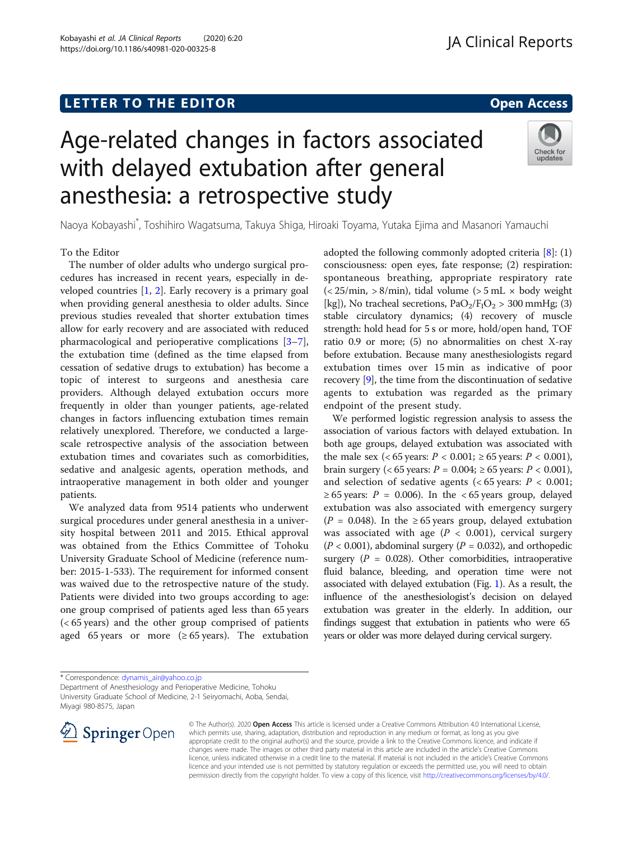## L E T T ER TOR OPEN A T T ER TOR OPEN A T T ER TOR OPEN A T T ER TOR OPEN A T T ER TOR OPEN A T T ER TOR OPEN <br>A t er tor open [Access](http://crossmark.crossref.org/dialog/?doi=10.1186/s40981-020-00325-8&domain=pdf) and the second and the second and the second and the second and the second and the secon

Kobayashi et al. JA Clinical Reports (2020) 6:20 https://doi.org/10.1186/s40981-020-00325-8

# Age-related changes in factors associated with delayed extubation after general anesthesia: a retrospective study



Naoya Kobayashi\* , Toshihiro Wagatsuma, Takuya Shiga, Hiroaki Toyama, Yutaka Ejima and Masanori Yamauchi

### To the Editor

The number of older adults who undergo surgical procedures has increased in recent years, especially in developed countries [[1,](#page-1-0) [2\]](#page-1-0). Early recovery is a primary goal when providing general anesthesia to older adults. Since previous studies revealed that shorter extubation times allow for early recovery and are associated with reduced pharmacological and perioperative complications [\[3](#page-1-0)–[7](#page-2-0)], the extubation time (defined as the time elapsed from cessation of sedative drugs to extubation) has become a topic of interest to surgeons and anesthesia care providers. Although delayed extubation occurs more frequently in older than younger patients, age-related changes in factors influencing extubation times remain relatively unexplored. Therefore, we conducted a largescale retrospective analysis of the association between extubation times and covariates such as comorbidities, sedative and analgesic agents, operation methods, and intraoperative management in both older and younger patients.

We analyzed data from 9514 patients who underwent surgical procedures under general anesthesia in a university hospital between 2011 and 2015. Ethical approval was obtained from the Ethics Committee of Tohoku University Graduate School of Medicine (reference number: 2015-1-533). The requirement for informed consent was waived due to the retrospective nature of the study. Patients were divided into two groups according to age: one group comprised of patients aged less than 65 years (< 65 years) and the other group comprised of patients aged 65 years or more  $(≥ 65$  years). The extubation

adopted the following commonly adopted criteria  $[8]$  $[8]$ : (1) consciousness: open eyes, fate response; (2) respiration: spontaneous breathing, appropriate respiratory rate  $\left($  < 25/min, > 8/min), tidal volume  $\left($  > 5 mL  $\times$  body weight [kg]), No tracheal secretions,  $PaO<sub>2</sub>/F<sub>1</sub>O<sub>2</sub> > 300$  mmHg; (3) stable circulatory dynamics; (4) recovery of muscle strength: hold head for 5 s or more, hold/open hand, TOF ratio 0.9 or more; (5) no abnormalities on chest X-ray before extubation. Because many anesthesiologists regard extubation times over 15 min as indicative of poor recovery [\[9](#page-2-0)], the time from the discontinuation of sedative agents to extubation was regarded as the primary endpoint of the present study.

We performed logistic regression analysis to assess the association of various factors with delayed extubation. In both age groups, delayed extubation was associated with the male sex (< 65 years:  $P < 0.001$ ;  $\ge 65$  years:  $P < 0.001$ ), brain surgery (< 65 years: *P* = 0.004; ≥ 65 years: *P* < 0.001), and selection of sedative agents ( $< 65$  years:  $P < 0.001$ ;  $\geq 65$  years:  $P = 0.006$ . In the <65 years group, delayed extubation was also associated with emergency surgery ( $P = 0.048$ ). In the ≥65 years group, delayed extubation was associated with age ( $P < 0.001$ ), cervical surgery  $(P < 0.001)$ , abdominal surgery  $(P = 0.032)$ , and orthopedic surgery ( $P = 0.028$ ). Other comorbidities, intraoperative fluid balance, bleeding, and operation time were not associated with delayed extubation (Fig. [1](#page-1-0)). As a result, the influence of the anesthesiologist's decision on delayed extubation was greater in the elderly. In addition, our findings suggest that extubation in patients who were 65 years or older was more delayed during cervical surgery.

\* Correspondence: [dynamis\\_air@yahoo.co.jp](mailto:dynamis_air@yahoo.co.jp)

Department of Anesthesiology and Perioperative Medicine, Tohoku University Graduate School of Medicine, 2-1 Seiryomachi, Aoba, Sendai, Miyagi 980-8575, Japan



© The Author(s). 2020 Open Access This article is licensed under a Creative Commons Attribution 4.0 International License, which permits use, sharing, adaptation, distribution and reproduction in any medium or format, as long as you give appropriate credit to the original author(s) and the source, provide a link to the Creative Commons licence, and indicate if changes were made. The images or other third party material in this article are included in the article's Creative Commons licence, unless indicated otherwise in a credit line to the material. If material is not included in the article's Creative Commons licence and your intended use is not permitted by statutory regulation or exceeds the permitted use, you will need to obtain permission directly from the copyright holder. To view a copy of this licence, visit <http://creativecommons.org/licenses/by/4.0/>.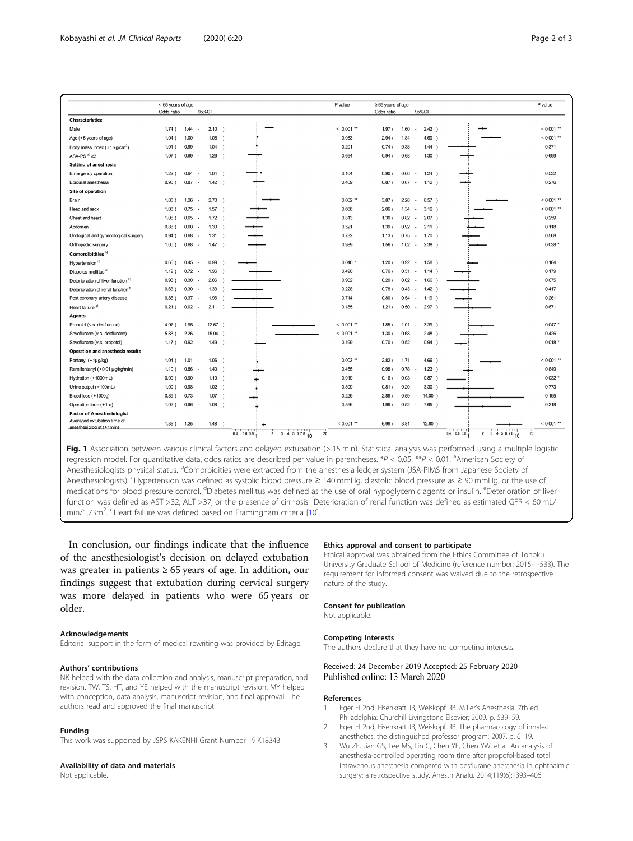<span id="page-1-0"></span>

|                                                         | < 65 years of age |                                                            | P value      | $\geq 65$ years of age                                | P value      |
|---------------------------------------------------------|-------------------|------------------------------------------------------------|--------------|-------------------------------------------------------|--------------|
|                                                         | Odds ratio        | 95%CI                                                      |              | Odds ratio<br>95%CI                                   |              |
| Characteristics                                         |                   |                                                            |              |                                                       |              |
| Male                                                    | 1.74(             | 1.44<br>2.10<br>-1                                         | $< 0.001$ ** | 2.42<br>1.97(<br>1.60<br>$\overline{\phantom{a}}$     | $< 0.001$ ** |
| Age (+5 years of age)                                   | 1.04(             | 1.08<br>1.00<br>- 1<br>٠.                                  | 0.053        | 4.69<br>2.94<br>1.84<br>$\overline{\phantom{a}}$      | $< 0.001$ ** |
| Body mass index $(+1 \text{ kg/cm}^2)$                  | 1.01(             | 0.99<br>1.04<br>$\rightarrow$<br>٠.                        | 0.201        | 0.74(<br>0.38<br>1.44<br>$\sim$                       | 0.371        |
| ASA-PS $a)$ $\geq$ 3                                    | 1.07(             | 0.69<br>1.26<br>$\overline{\phantom{a}}$<br>- 1            | 0.664        | 0.68<br>1.30<br>0.94(<br>$\sim$                       | 0.699        |
| Setting of anesthesia                                   |                   |                                                            |              |                                                       |              |
| Emergency operation                                     | 1.22(             | 0.64<br>1.04<br>$\rightarrow$<br>÷                         | 0.104        | 0.90(<br>0.66<br>$1.24$ )<br>$\sim$                   | 0.532        |
| Epidural anesthesia                                     | 0.90(             | 0.87<br>1.42<br>$\sim$<br>$\rightarrow$                    | 0.409        | $0.87$ (<br>$1.12$ )<br>0.67<br>$\sim$                | 0.276        |
| Site of operation                                       |                   |                                                            |              |                                                       |              |
| Brain                                                   | 1.85(             | 1.26<br>2.70<br>$\rightarrow$<br>٠.                        | $0.002$ **   | $3.87$ (<br>2.28<br>6.57)<br>$\overline{\phantom{a}}$ | $< 0.001$ ** |
| Head and neck                                           | 1.08(             | 0.75<br>1.57<br>$\rightarrow$<br>$\sim$                    | 0.666        | 2.06(<br>1.34<br>$3.16$ )<br>$\sim$                   | $< 0.001$ ** |
| Chest and heart                                         | 1.06(             | 0.65<br>1.72<br>$\sim$<br>$\rightarrow$                    | 0.813        | 1.30(<br>0.82<br>2.07<br>$\sim$                       | 0.259        |
| Abdomen                                                 | 0.88(             | 0.60<br>1.30<br>٠.<br>$\rightarrow$                        | 0.521        | 0.92<br>1.39(<br>2.11<br>$\overline{\phantom{a}}$     | 0.118        |
| Urological and gynecological surgery                    | 0.94(             | 0.68<br>1.31<br>$\rightarrow$<br>$\overline{\phantom{a}}$  | 0.732        | 1.13(<br>0.75<br>$1.70$ )<br>$\sim$                   | 0.568        |
| Orthopedic surgery                                      | 1.00(             | 0.68<br>1.47<br>$\rightarrow$<br>$\sim$                    | 0.989        | 1.56(<br>1.02<br>2.38<br>$\overline{\phantom{a}}$     | 0.038        |
| Comordibitities <sup>b)</sup>                           |                   |                                                            |              |                                                       |              |
| Hypertension <sup>c)</sup>                              | 0.66(             | 0.45<br>0.99                                               | $0.040$ *    | 0.92<br>1.20(<br>$1.58$ )<br>$\overline{\phantom{a}}$ | 0.184        |
| Diabetes mellitus <sup>d)</sup>                         | 1.19(             | $0.72 -$<br>1.96                                           | 0.490        | 0.76(<br>0.51<br>1.14<br>$\sim$                       | 0.179        |
| Deterioration of liver function <sup>e)</sup>           | 0.93(             | 0.30<br>2.86<br>٠.                                         | 0.902        | 0.20(<br>0.02<br>1.66<br>$\sim$                       | 0.075        |
| Deterioration of renal function <sup>9</sup>            | 0.63(             | 0.30<br>1.33<br>÷.                                         | 0.228        | 0.78(<br>0.43<br>1.42<br>$\sim$                       | 0.417        |
| Post coronary artery disease                            | $0.86$ (          | 0.37<br>1.96<br>٠.                                         | 0.714        | 0.80(<br>0.54<br>$1.19$ )<br>$\sim$                   | 0.261        |
| Heart failure <sup>9)</sup>                             | 0.21(             | 0.02<br>2.11<br>٠.                                         | 0.185        | 1.21(<br>0.50<br>2.97<br>$\sim$                       | 0.671        |
| Agents                                                  |                   |                                                            |              |                                                       |              |
| Propofol (v.s. desflurane)                              | 4.97 (            | 12.67<br>1.95<br>$\rightarrow$<br>$\overline{\phantom{a}}$ | $< 0.001$ ** | 1.85(<br>1.01<br>$3.39$ )<br>$\overline{\phantom{a}}$ | $0.047$ *    |
| Sevoflurane (v.s. desflurane)                           | 5.83(             | 2.26<br>15.04<br>- 1<br>٠                                  | $< 0.001$ ** | 1.30(<br>0.68<br>2.48                                 | 0.426        |
| Sevoflurane (v.s. propofol)                             | 1.17(             | 0.92<br>1.49<br>$\rightarrow$<br>$\sim$                    | 0.199        | 0.52<br>0.94<br>0.70(<br>$\overline{\phantom{a}}$     | $0.018*$     |
| Operation and anesthesia results                        |                   |                                                            |              |                                                       |              |
| Fentanyl (+1µg/kg)                                      | 1.04(             | 1.01<br>1.06<br>٠.<br>- 1                                  | $0.003$ **   | 1.71<br>2.82(<br>4.66<br>$\sim$                       | $< 0.001$ ** |
| Remifentanyl (+0.01 µg/kg/min)                          | 1.10(             | 0.86<br>1.40<br>$\overline{\phantom{a}}$<br>n              | 0.455        | 0.98(<br>0.78<br>1.23<br>$\overline{\phantom{a}}$     | 0.849        |
| Hydration (+1000mL)                                     | 0.99(             | 0.90<br>1.10<br>٠.<br>- 1                                  | 0.919        | 0.03<br>0.87<br>0.16(<br>$\overline{\phantom{a}}$     | $0.032*$     |
| Urine output (+100mL)                                   | 1.00(             | 0.98<br>1.02<br>٠.<br>$\rightarrow$                        | 0.809        | 0.20<br>0.81(<br>3.30<br>$\overline{\phantom{a}}$     | 0.773        |
| Blood loss (+1000g)                                     | 0.89(             | 0.73<br>1.07<br>-1<br>٠.                                   | 0.229        | 2.88(<br>0.59<br>14.00<br>$\overline{\phantom{a}}$    | 0.195        |
| Operation time (+1hr)                                   | 1.02(             | 0.96<br>1.08<br>$\rightarrow$<br>$\sim$                    | 0.556        | 1.99(<br>0.52<br>7.65<br>$\sim$                       | 0.318        |
| <b>Factor of Anesthesiologist</b>                       |                   |                                                            |              |                                                       |              |
| Averaged extubation time of<br>anesthesiologist (+1min) | 1.36 <sub>0</sub> | $1.25 -$<br>1.48<br>- 1<br>3 4 5 6 78 10                   | $< 0.001$ ** | 6.98(<br>$3.81 - 12.80$<br>2 3 4 5 6 78 10            | $< 0.001$ ** |

Fig. 1 Association between various clinical factors and delayed extubation (> 15 min). Statistical analysis was performed using a multiple logistic regression model. For quantitative data, odds ratios are described per value in parentheses. \*P < 0.05, \*\*P < 0.01. <sup>a</sup>American Society of Anesthesiologists physical status. <sup>b</sup>Comorbidities were extracted from the anesthesia ledger system (JSA-PIMS from Japanese Society of Anesthesiologists). <sup>c</sup> Hypertension was defined as systolic blood pressure ≥ 140 mmHg, diastolic blood pressure as ≥ 90 mmHg, or the use of medications for blood pressure control. <sup>d</sup>Diabetes mellitus was defined as the use of oral hypoglycemic agents or insulin. <sup>e</sup>Deterioration of liver function was defined as AST >32, ALT >37, or the presence of cirrhosis. <sup>f</sup>Deterioration of renal function was defined as estimated GFR < 60 mL/ min/1.73m<sup>2</sup>. <sup>g</sup>Heart failure was defined based on Framingham criteria [\[10\]](#page-2-0).

In conclusion, our findings indicate that the influence of the anesthesiologist's decision on delayed extubation was greater in patients  $\geq 65$  years of age. In addition, our findings suggest that extubation during cervical surgery was more delayed in patients who were 65 years or older.

#### Acknowledgements

Editorial support in the form of medical rewriting was provided by Editage.

#### Authors' contributions

NK helped with the data collection and analysis, manuscript preparation, and revision. TW, TS, HT, and YE helped with the manuscript revision. MY helped with conception, data analysis, manuscript revision, and final approval. The authors read and approved the final manuscript.

#### Funding

This work was supported by JSPS KAKENHI Grant Number 19 K18343.

#### Availability of data and materials

Not applicable.

#### Ethics approval and consent to participate

Ethical approval was obtained from the Ethics Committee of Tohoku University Graduate School of Medicine (reference number: 2015-1-533). The requirement for informed consent was waived due to the retrospective nature of the study.

#### Consent for publication

Not applicable.

#### Competing interests

The authors declare that they have no competing interests.

## Received: 24 December 2019 Accepted: 25 February 2020

### References

- 1. Eger EI 2nd, Eisenkraft JB, Weiskopf RB. Miller's Anesthesia. 7th ed. Philadelphia: Churchill Livingstone Elsevier; 2009. p. 539–59.
- 2. Eger EI 2nd, Eisenkraft JB, Weiskopf RB. The pharmacology of inhaled anesthetics: the distinguished professor program; 2007. p. 6–19.
- 3. Wu ZF, Jian GS, Lee MS, Lin C, Chen YF, Chen YW, et al. An analysis of anesthesia-controlled operating room time after propofol-based total intravenous anesthesia compared with desflurane anesthesia in ophthalmic surgery: a retrospective study. Anesth Analg. 2014;119(6):1393–406.